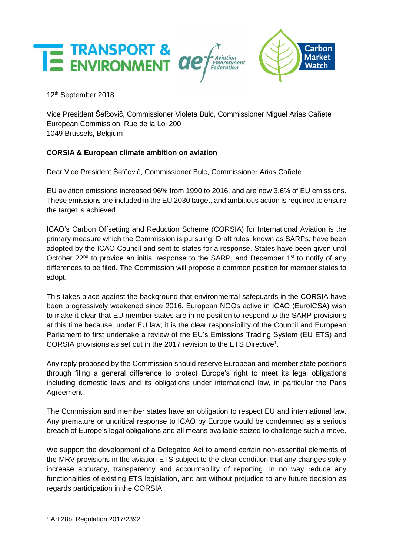

12 th September 2018

Vice President Šefčovič, Commissioner Violeta Bulc, Commissioner Miguel Arias Cañete European Commission, Rue de la Loi 200 1049 Brussels, Belgium

## **CORSIA & European climate ambition on aviation**

Dear Vice President Šefčovič, Commissioner Bulc, Commissioner Arias Cañete

EU aviation emissions increased 96% from 1990 to 2016, and are now 3.6% of EU emissions. These emissions are included in the EU 2030 target, and ambitious action is required to ensure the target is achieved.

ICAO's Carbon Offsetting and Reduction Scheme (CORSIA) for International Aviation is the primary measure which the Commission is pursuing. Draft rules, known as SARPs, have been adopted by the ICAO Council and sent to states for a response. States have been given until October 22<sup>nd</sup> to provide an initial response to the SARP, and December 1<sup>st</sup> to notify of any differences to be filed. The Commission will propose a common position for member states to adopt.

This takes place against the background that environmental safeguards in the CORSIA have been progressively weakened since 2016. European NGOs active in ICAO (EuroICSA) wish to make it clear that EU member states are in no position to respond to the SARP provisions at this time because, under EU law, it is the clear responsibility of the Council and European Parliament to first undertake a review of the EU's Emissions Trading System (EU ETS) and CORSIA provisions as set out in the 2017 revision to the ETS Directive<sup>1</sup>.

Any reply proposed by the Commission should reserve European and member state positions through filing a general difference to protect Europe's right to meet its legal obligations including domestic laws and its obligations under international law, in particular the Paris Agreement.

The Commission and member states have an obligation to respect EU and international law. Any premature or uncritical response to ICAO by Europe would be condemned as a serious breach of Europe's legal obligations and all means available seized to challenge such a move.

We support the development of a Delegated Act to amend certain non-essential elements of the MRV provisions in the aviation ETS subject to the clear condition that any changes solely increase accuracy, transparency and accountability of reporting, in no way reduce any functionalities of existing ETS legislation, and are without prejudice to any future decision as regards participation in the CORSIA.

<sup>1</sup> Art 28b, Regulation 2017/2392